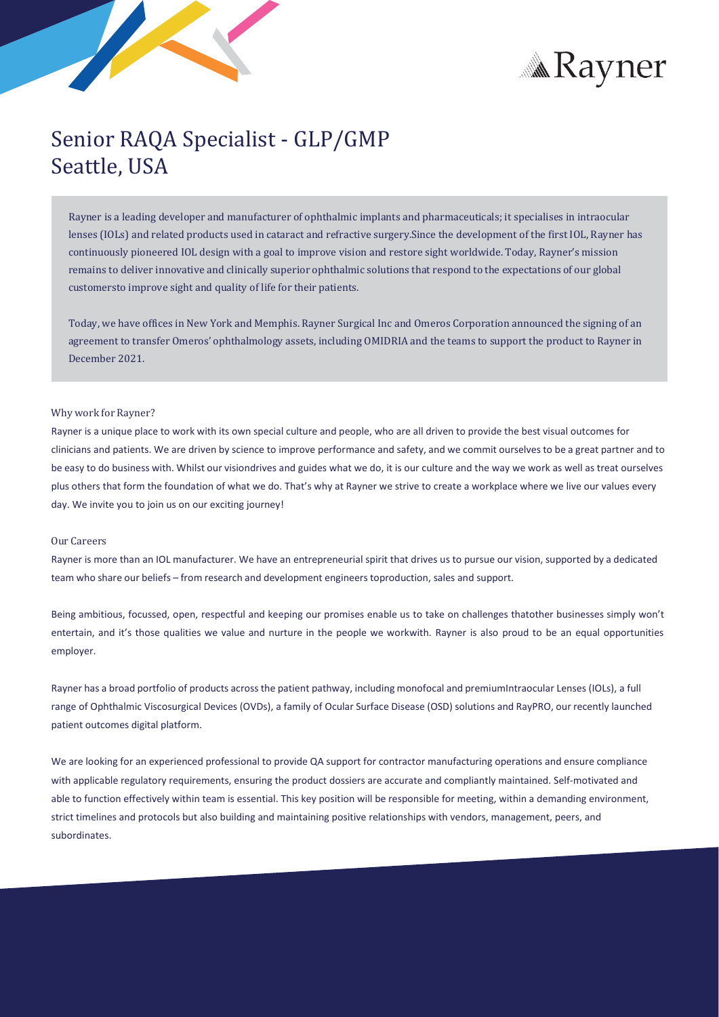

# **Max** Rayner

## Senior RAQA Specialist - GLP/GMP Seattle, USA

Rayner is a leading developer and manufacturer of ophthalmic implants and pharmaceuticals; it specialises in intraocular lenses (IOLs) and related products used in cataract and refractive surgery.Since the development of the first IOL, Rayner has continuously pioneered IOL design with a goal to improve vision and restore sight worldwide. Today, Rayner's mission remains to deliver innovative and clinically superior ophthalmic solutions that respond to the expectations of our global customersto improve sight and quality of life for their patients.

Today, we have offices in New York and Memphis. Rayner Surgical Inc and Omeros Corporation announced the signing of an agreement to transfer Omeros' ophthalmology assets, including OMIDRIA and the teams to support the product to Rayner in December 2021.

#### Why work for Rayner?

Rayner is a unique place to work with its own special culture and people, who are all driven to provide the best visual outcomes for clinicians and patients. We are driven by science to improve performance and safety, and we commit ourselves to be a great partner and to be easy to do business with. Whilst our visiondrives and guides what we do, it is our culture and the way we work as well as treat ourselves plus others that form the foundation of what we do. That's why at Rayner we strive to create a workplace where we live our values every day. We invite you to join us on our exciting journey!

#### Our Careers

Rayner is more than an IOL manufacturer. We have an entrepreneurial spirit that drives us to pursue our vision, supported by a dedicated team who share our beliefs – from research and development engineerstoproduction, sales and support.

Being ambitious, focussed, open, respectful and keeping our promises enable us to take on challenges thatother businesses simply won't entertain, and it's those qualities we value and nurture in the people we workwith. Rayner is also proud to be an equal opportunities employer.

Rayner has a broad portfolio of products acrossthe patient pathway, including monofocal and premiumIntraocular Lenses (IOLs), a full range of Ophthalmic Viscosurgical Devices (OVDs), a family of Ocular Surface Disease (OSD) solutions and RayPRO, our recently launched patient outcomes digital platform.

We are looking for an experienced professional to provide QA support for contractor manufacturing operations and ensure compliance with applicable regulatory requirements, ensuring the product dossiers are accurate and compliantly maintained. Self-motivated and able to function effectively within team is essential. This key position will be responsible for meeting, within a demanding environment, strict timelines and protocols but also building and maintaining positive relationships with vendors, management, peers, and subordinates.